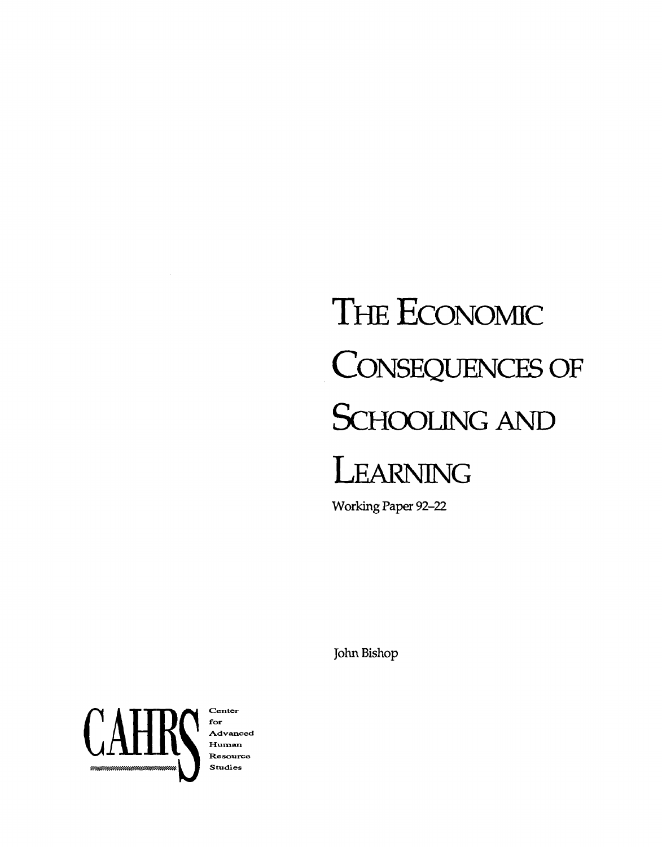# THE ECONOMIC CONSEQUENCES **OF** SCHOOLING AND LEARNING

Working Paper 92-22

John Bishop



 $\bar{z}$ 

Advanced Human Resource Studies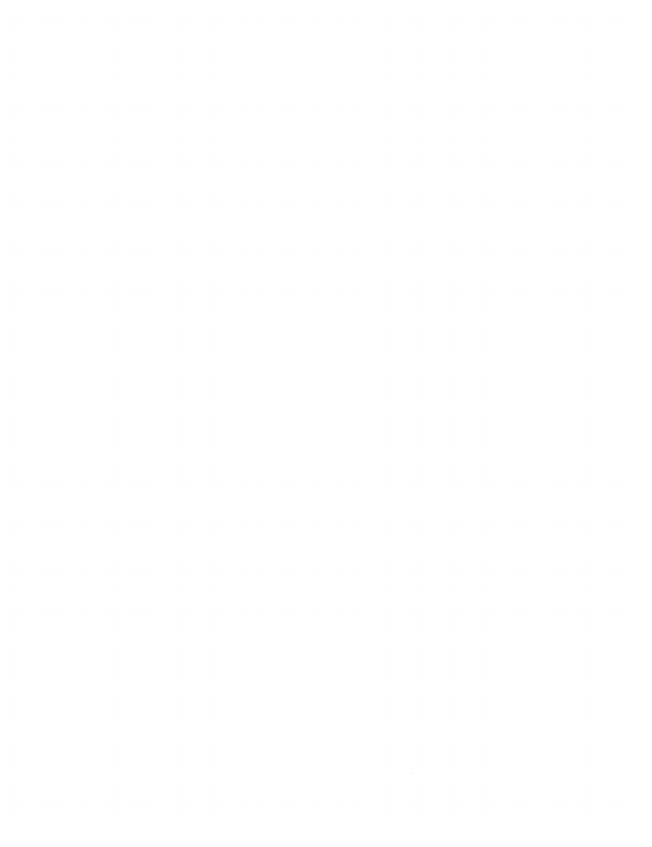$\label{eq:2.1} \frac{1}{\sqrt{2}}\left(\frac{1}{\sqrt{2}}\right)^2\left(\frac{1}{\sqrt{2}}\right)^2\left(\frac{1}{\sqrt{2}}\right)^2\left(\frac{1}{\sqrt{2}}\right)^2\left(\frac{1}{\sqrt{2}}\right)^2\left(\frac{1}{\sqrt{2}}\right)^2.$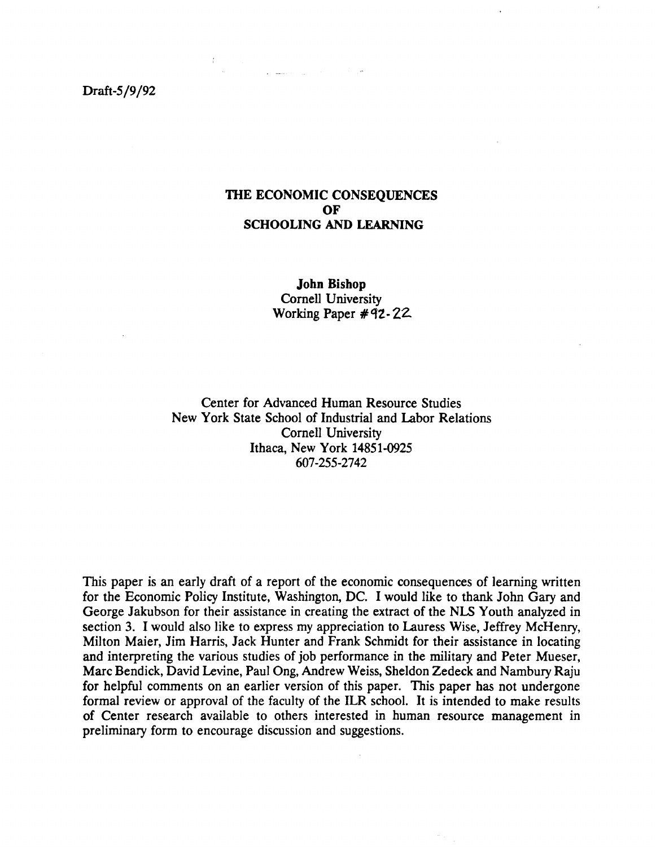Draft-5/9/92

### THE ECONOMIC CONSEQUENCES **OF** SCHOOLING AND LEARNING

### John Bishop Cornell University Working Paper  $#42-22$ .

Center for Advanced Human Resource Studies New York State School of Industrial and Labor Relations Cornell University Ithaca, New York 14851-0925 607-255-2742

This paper is an early draft of a report of the economic consequences of learning written for the Economic Policy Institute, Washington, DC. I would like to thank John Gary and George Jakubson for their assistance in creating the extract of the NLS Youth analyzed in section 3. I would also like to express my appreciation to Lauress Wise, Jeffrey McHenry, Milton Maier, Jim Harris, Jack Hunter and Frank Schmidt for their assistance in locating and interpreting the various studies of job performance in the military and Peter Mueser, Marc Bendick, David Levine, Paul Ong, Andrew Weiss, Sheldon Zedeck and Nambury Raju for helpful comments on an earlier version of this paper. This paper has not undergone formal review or approval of the faculty of the ILR school. It is intended to make results of Center research available to others interested in human resource management in preliminary form to encourage discussion and suggestions.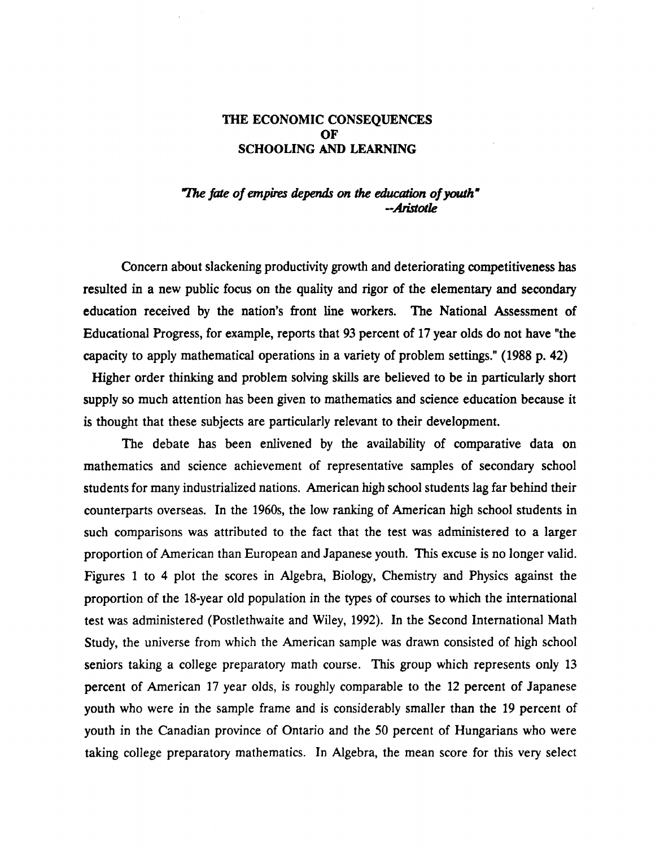### THE ECONOMIC CONSEQUENCES OF SCHOOLING AND LEARNING

### *'The fate of empires depends on the education of youth. --Aristotle*

Concern about slackening productivity growth and deteriorating competitiveness has resulted in a new public focus on the quality and rigor of the elementary and secondary education received by the nation's front line workers. The National Assessment of Educational Progress, for example, reports that 93 percent of 17 year olds do not have "the capacity to apply mathematical operations in a variety of problem settings." (1988 p. 42)

Higher order thinking and problem solving skills are believed to be in particularly short supply so much attention has been given to mathematics and science education because it is thought that these subjects are particularly relevant to their development.

The debate has been enlivened by the availability of comparative data on mathematics and science achievement of representative samples of secondary school students for many industrialized nations. American high school students lag far behind their counterparts overseas. In the 1960s, the low ranking of American high school students in such comparisons was attributed to the fact that the test was administered to a larger proportion of American than European and Japanese youth. This excuse is no longer valid. Figures 1 to 4 plot the scores in Algebra, Biology, Chemistry and Physics against the proportion of the 18-year old population in the types of courses to which the international test was administered (Postlethwaite and Wiley, 1992). In the Second International Math Study, the universe from which the American sample was drawn consisted of high school seniors taking a college preparatory math course. This group which represents only 13 percent of American 17 year olds, is roughly comparable to the 12 percent of Japanese youth who were in the sample frame and is considerably smaller than the 19 percent of youth in the Canadian province of Ontario and the 50 percent of Hungarians who were taking college preparatory mathematics. In Algebra, the mean score for this very select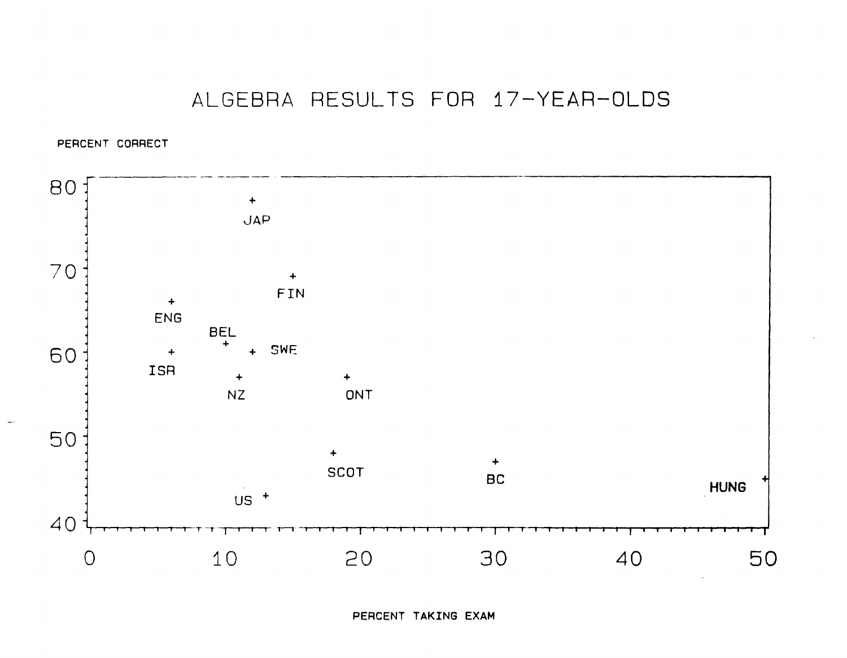# ALGEBRA RESULTS FOR 17-YEAR-OLDS

PERCENT CORRECT

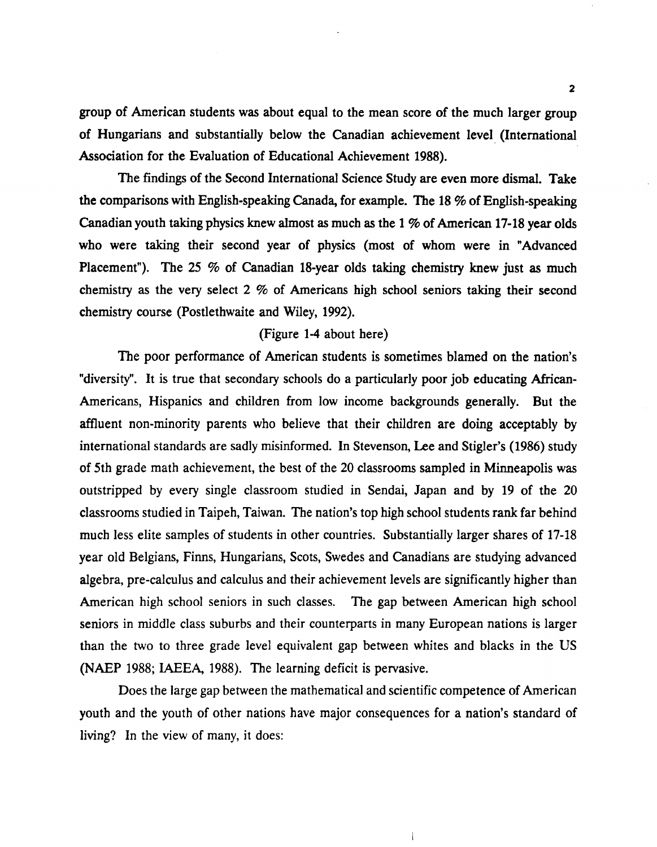group of American students was about equal to the mean score of the much larger group of Hungarians and substantially below the Canadian achievement level (International - Association for the Evaluation of Educational Achievement 1988).

The findings of the Second International Science Study are even more dismal. Take the comparisons with English-speaking Canada, for example. The 18 % of English-speaking Canadian youth taking physics knew almost as much as the  $1\%$  of American 17-18 year olds who were taking their second year of physics (most of whom were in "Advanced Placement"). The 25 % of Canadian 18-year olds taking chemistry knew just as much chemistry as the very select 2 % of Americans high school seniors taking their second chemistry course (Postlethwaite and Wiley, 1992).

### (Figure 1-4 about here)

The poor performance of American students is sometimes blamed on the nation's "diversity". It is true that secondary schools do a particularly poor job educating African-Americans, Hispanics and children from low income backgrounds generally. But the affluent non-minority parents who believe that their children are doing acceptably by international standards are sadly misinformed. In Stevenson, Lee and Stigler's (1986) study of 5th grade math achievement, the best of the 20 classrooms sampled in Minneapolis was outstripped by every single classroom studied in Sendai, Japan and by 19 of the 20 classrooms studied in Taipeh, Taiwan. The nation's top high school students rank far behind much less elite samples of students in other countries. Substantially larger shares of 17-18 year old Belgians, Finns, Hungarians, Scots, Swedes and Canadians are studying advanced algebra, pre-calculus and calculus and their achievement levels are significantly higher than American high school seniors in such classes. The gap between American high school seniors in middle class suburbs and their counterparts in many European nations is larger than the two to three grade level equivalent gap between whites and blacks in the US (NAEP 1988; IAEEA, 1988). The learning deficit is pervasive.

Does the large gap between the mathematical and scientific competence of American youth and the youth of other nations have major consequences for a nation's standard of living? In the view of many, it does:

 $\overline{\phantom{a}}$ 

2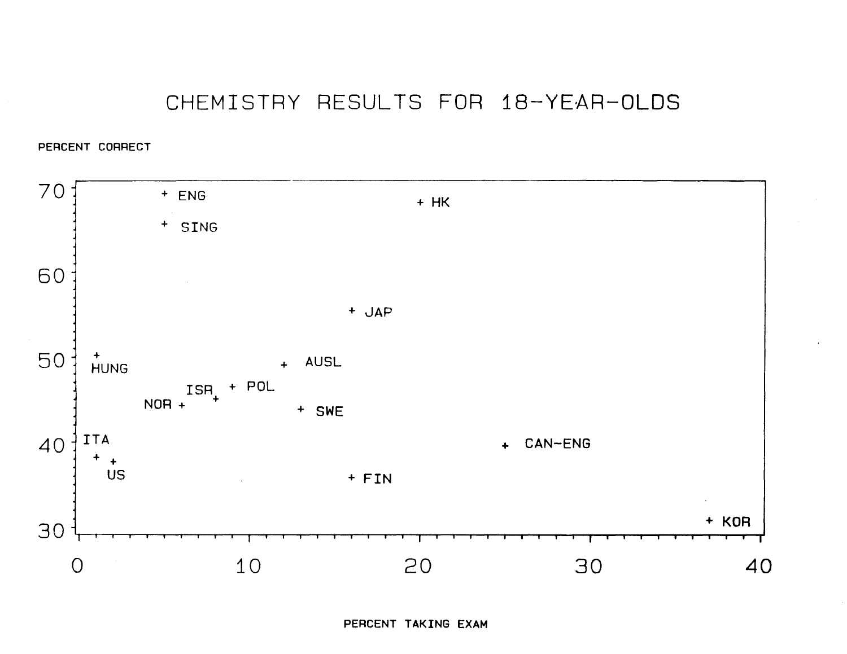### CHEMISTRY RESULTS FOR 18-YEAR-OLDS

PERCENT CORRECT

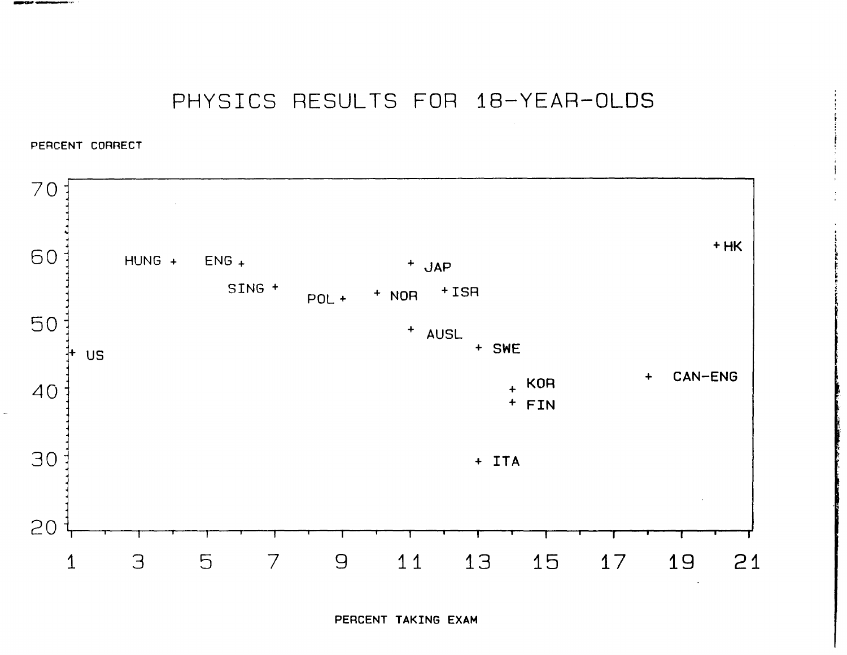# PHYSICS RESULTS FOR 18-YEAR-OLDS

. ! t

f .

l

PERCENT CORRECT

-

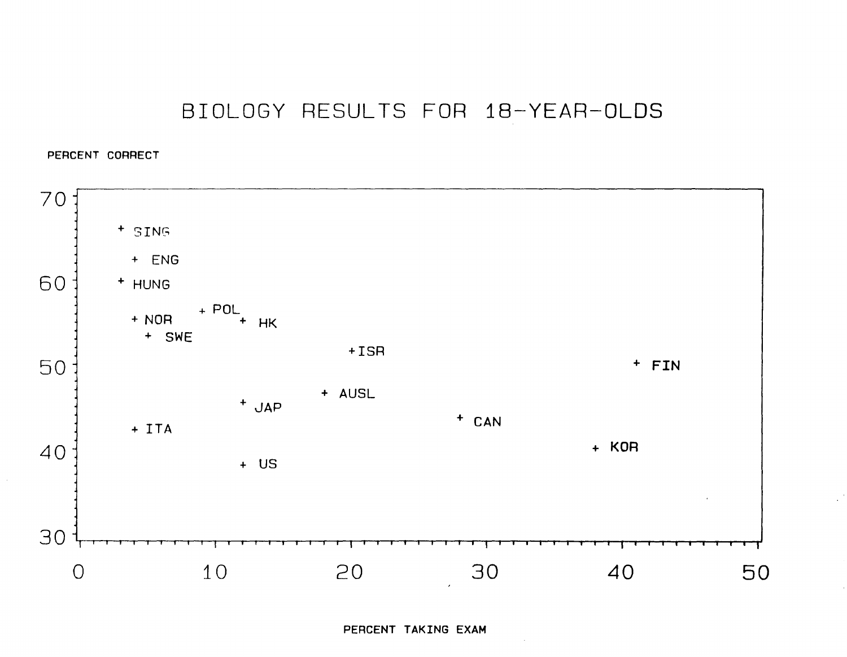# BIOLOGY RESULTS FOR 18-YEAR-OLDS

PERCENT CORRECT

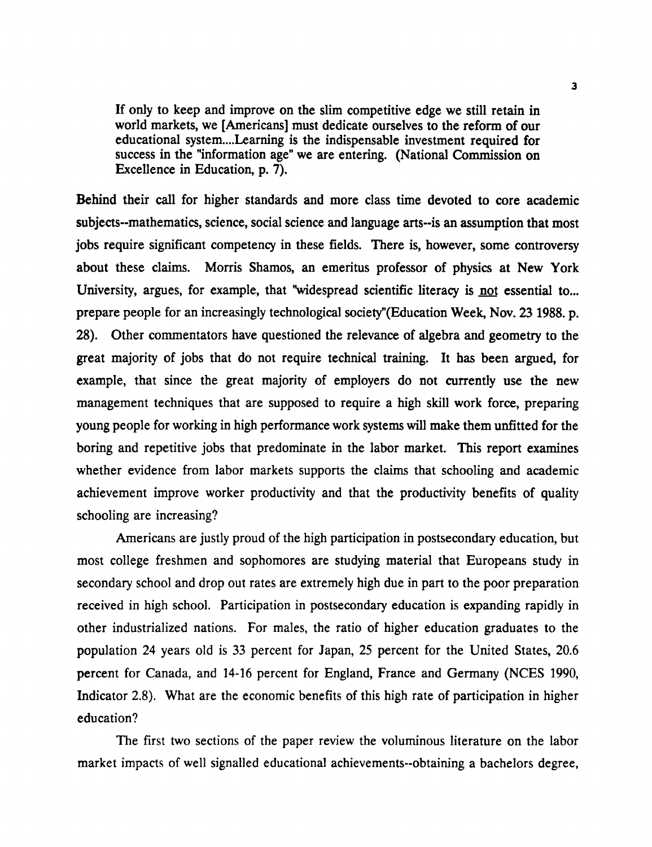If only to keep and improve on the slim competitive edge we still retain in world markets, we [Americans] must dedicate ourselves to the reform of our educational system....Learning is the indispensable investment required for success in the "information age" we are entering. (National Commission on Excellence in Education, p. 7).

Behind their call for higher standards and more class time devoted to core academic subjects--mathematics, science, social science and language arts--is an assumption that most jobs require significant competency in these fields. There is, however, some controversy about these claims. Morris Shamos, an emeritus professor of physics at New York University, argues, for example, that "widespread scientific literacy is not essential to... prepare people for an increasingly technological society"(Education Week, Nov. 23 1988.p. 28). Other commentators have questioned the relevance of algebra and geometry to the great majority of jobs that do not require technical training. It has been argued, for example, that since the great majority of employers do not currently use the new management techniques that are supposed to require a high skill work force, preparing young people for working in high performance work systemswill make them unfitted for the boring and repetitive jobs that predominate in the labor market. This report examines whether evidence from labor markets supports the claims that schooling and academic achievement improve worker productivity and that the productivity benefits of quality schooling are increasing?

Americans are justly proud of the high participation in postsecondary education, but most college freshmen and sophomores are studying material that Europeans study in secondary school and drop out rates are extremely high due in part to the poor preparation received in high school. Participation in postsecondary education is expanding rapidly in other industrialized nations. For males, the ratio of higher education graduates to the population 24 years old is 33 percent for Japan, 25 percent for the United States, 20.6 percent for Canada, and 14-16 percent for England, France and Germany (NCES 1990, Indicator 2.8). What are the economic benefits of this high rate of participation in higher education?

The first two sections of the paper review the voluminous literature on the labor market impacts of well signalled educational achievements--obtaining a bachelors degree,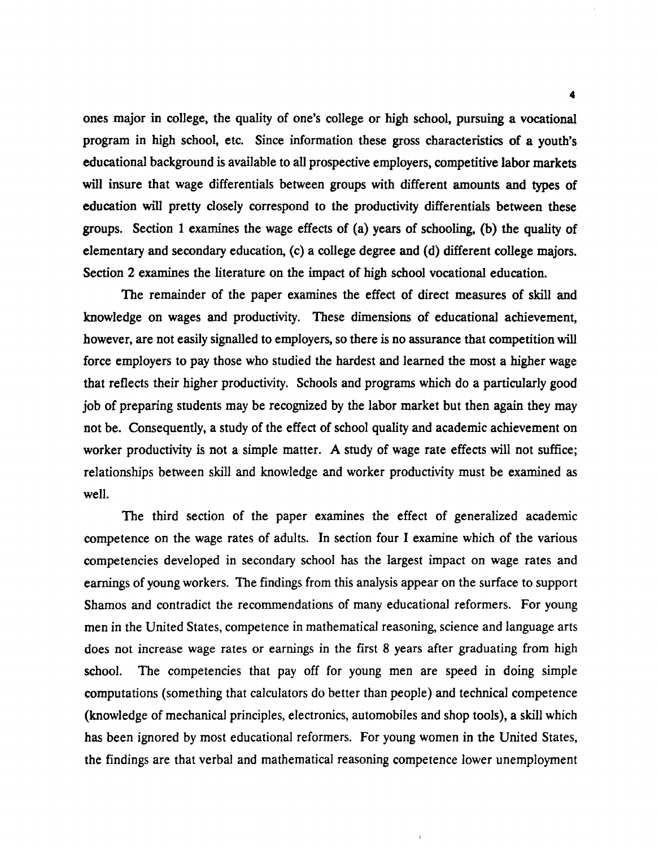ones major in college, the quality of one's college or high school, pursuing a vocational program in high school, etc. Since information these gross characteristics of a youth's educational background is available to all prospective employers, competitive labor markets will insure that wage differentials between groups with different amounts and types of education will pretty closely correspond to the productivity differentials between these groups. Section 1 examines the wage effects of (a) years of schooling, (b) the quality of elementary and secondary education, (c) a college degree and (d) different college majors. Section 2 examines the literature on the impact of high school vocational education.

The remainder of the paper examines the effect of direct measures of skill and knowledge on wages and productivity. These dimensions of educational achievement, however, are not easily signalled to employers, so there is no assurance that competition will force employers to pay those who studied the hardest and learned the most a higher wage that reflects their higher productivity. Schools and programs which do a particularly good job of preparing students may be recognized by the labor market but then again they may not be. Consequently, a study of the effect of school quality and academic achievement on worker productivity is not a simple matter. A study of wage rate effects will not suffice; relationships between skill and knowledge and worker productivity must be examined as well.

The third section of the paper examines the effect of generalized academic competence on the wage rates of adults. In section four I examine which of the various competencies developed in secondary school has the largest impact on wage rates and earnings of young workers. The findings from this analysis appear on the surface to support Shamos and contradict the recommendations of many educational reformers. For young men in the United States, competence in mathematical reasoning, science and language arts does not increase wage rates or earnings in the first 8 years after graduating from high school. The competencies that pay off for young men are speed in doing simple computations (something that calculators do better than people) and technical competence (knowledge of mechanical principles, electronics, automobiles and shop tools), a skill which has been ignored by most educational reformers. For young women in the United States, the findings are that verbal and mathematical reasoning competence lower unemployment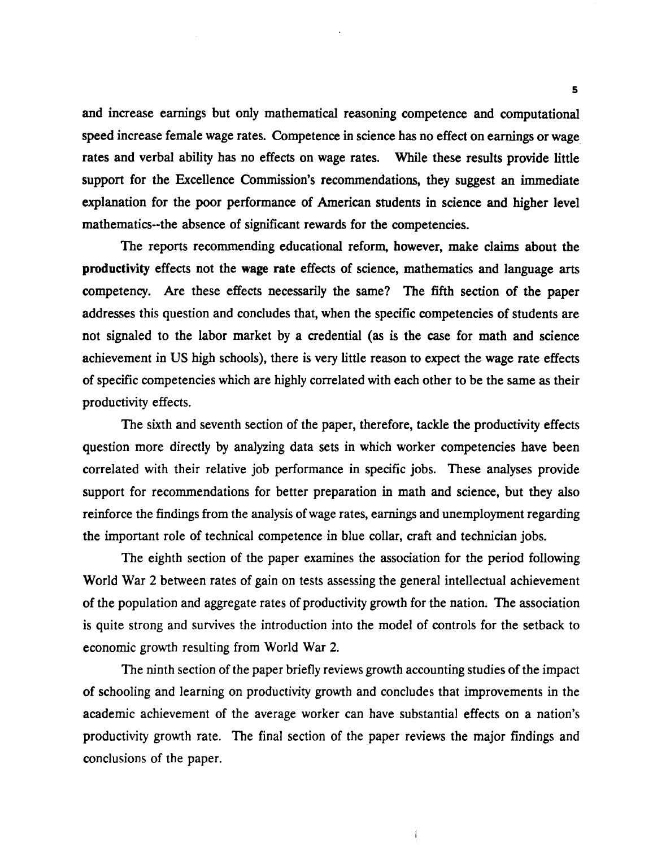and increase earnings but only mathematical reasoning competence and computational speed increase female wage rates. Competence in science has no effect on earnings or wage rates and verbal ability has no effects on wage rates. While these results provide little support for the Excellence Commission's recommendations, they suggest an immediate explanation for the poor performance of American students in science and higher level mathematics--the absence of significant rewards for the competencies.

The reports recommending educational reform, however, make claims about the productivity effects not the wage rate effects of science, mathematics and language arts competency. Are these effects necessarily the same? The fifth section of the paper addresses this question and concludes that, when the specific competencies of students are not signaled to the labor market by a credential (as is the case for math and science achievement in US high schools), there is very little reason to expect the wage rate effects of specific competencies which are highly correlated with each other to be the same as their productivity effects.

The sixth and seventh section of the paper, therefore, tackle the productivity effects question more directly by analyzing data sets in which worker competencies have been correlated with their relative job performance in specific jobs. These analyses provide support for recommendations for better preparation in math and science, but they also reinforce the findings from the analysis of wage rates, earnings and unemployment regarding the important role of technical competence in blue collar, craft and technician jobs.

The eighth section of the paper examines the association for the period following World War 2 between rates of gain on tests assessing the general intellectual achievement of the population and aggregate rates of productivity growth for the nation, The association is quite strong and survives the introduction into the model of controls for the setback to economic growth resulting from World War 2.

The ninth section of the paper briefly reviews growth accounting studies of the impact of schooling and learning on productivity growth and concludes that improvements in the academic achievement of the average worker can have substantial effects on a nation's productivity growth rate. The final section of the paper reviews the major findings and conclusions of the paper.

5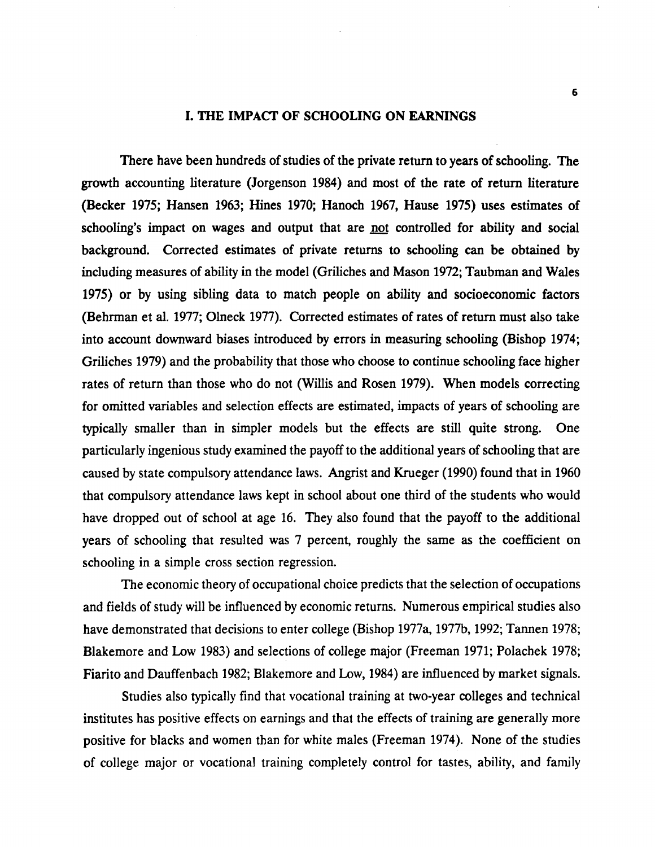### I. THE IMPACf OF SCHOOLING ON EARNINGS

There have been hundreds of studies of the private return to years of schooling. The growth accounting literature (Jorgenson 1984) and most of the rate of return literature (Becker 1975; Hansen 1963; Hines 1970; Hanoch 1967, Hause 1975) uses estimates of schooling's impact on wages and output that are not controlled for ability and social background. Corrected estimates of private returns to schooling can be obtained by including measures of ability in the model (Griliches and Mason 1972; Taubman and Wales 1975) or by using sibling data to match people on ability and socioeconomic factors (Behrman et al. 1977; Olneck 1977). Corrected estimates of rates of return must also take into account downward biases introduced by errors in measuring schooling (Bishop 1974; Griliches 1979) and the probability that those who choose to continue schooling face higher rates of return than those who do not (Willis and Rosen 1979). When models correcting for omitted variables and selection effects are estimated, impacts of years of schooling are typically smaller than in simpler models but the effects are still quite strong. One particularly ingenious study examined the payoff to the additional years of schooling that are caused by state compulsory attendance laws. Angrist and Krueger (1990) found that in 1960 that compulsory attendance laws kept in school about one third of the students who would have dropped out of school at age 16. They also found that the payoff to the additional years of schooling that resulted was 7 percent, roughly the same as the coefficient on schooling in a simple cross section regression.

The economic theory of occupational choice predicts that the selection of occupations and fields of study will be influenced by economic returns. Numerous empirical studies also have demonstrated that decisions to enter college (Bishop 1977a, 1977b, 1992; Tannen 1978; Blakemore and Low 1983) and selections of college major (Freeman 1971; Polachek 1978; Fiarito and Dauffenbach 1982; Blakemore and Low, 1984) are influenced by market signals.

Studies also typically find that vocational training at two-year colleges and technical institutes has positive effects on earnings and that the effects of training are generally more positive for blacks and women than for white males (Freeman 1974). None of the studies of college major or vocational training completely control for tastes, ability, and family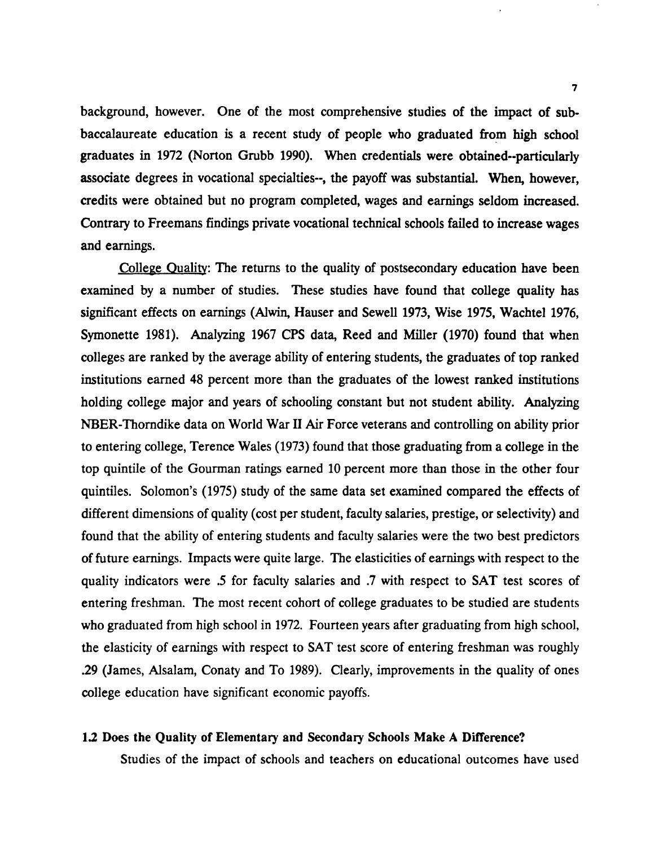background, however. One of the most comprehensive studies of the impact of subbaccalaureate education is a recent study of people who graduated from high school graduates in 1972 (Norton Grubb 1990). When credentials were obtained--particularly associate degrees in vocational specialties--, the payoff was substantial. When, however, credits were obtained but no program completed, wages and earnings seldom increased. Contrary to Freemans findings private vocational technical schools failed to increase wages and earnings.

College Ouality: The returns to the quality of postsecondary education have been examined by a number of studies. These studies have found that college quality has significant effects on earnings (Alwin, Hauser and Sewell 1973, Wise 1975, Wachtel 1976, Symonette 1981). Analyzing 1967 CPS data, Reed and Miller (1970) found that when colleges are ranked by the average ability of entering students, the graduates of top ranked institutions earned 48 percent more than the graduates of the lowest ranked institutions holding college major and years of schooling constant but not student ability. Analyzing NBER-Thomdike data on World War II Air Force veterans and controlling on ability prior to entering college, Terence Wales (1973) found that those graduating from a college in the top quintile of the Gourman ratings earned 10 percent more than those in the other four quintiles. Solomon's (1975) study of the same data set examined compared the effects of different dimensions of quality (cost per student, faculty salaries, prestige, or selectivity) and found that the ability of entering students and faculty salaries were the two best predictors of future earnings. Impacts were quite large. The elasticities of earnings with respect to the quality indicators were .5 for faculty salaries and .7 with respect to SAT test scores of entering freshman. The most recent cohort of college graduates to be studied are students who graduated from high school in 1972. Fourteen years after graduating from high school, the elasticity of earnings with respect to SAT test score of entering freshman was roughly .29 (James, Alsalam, Conaty and To 1989). Clearly, improvements in the quality of ones college education have significant economic payoffs.

### 1.2 Does the Quality of Elementary and Secondary Schools Make A Difference?

Studies of the impact of schools and teachers on educational outcomes have used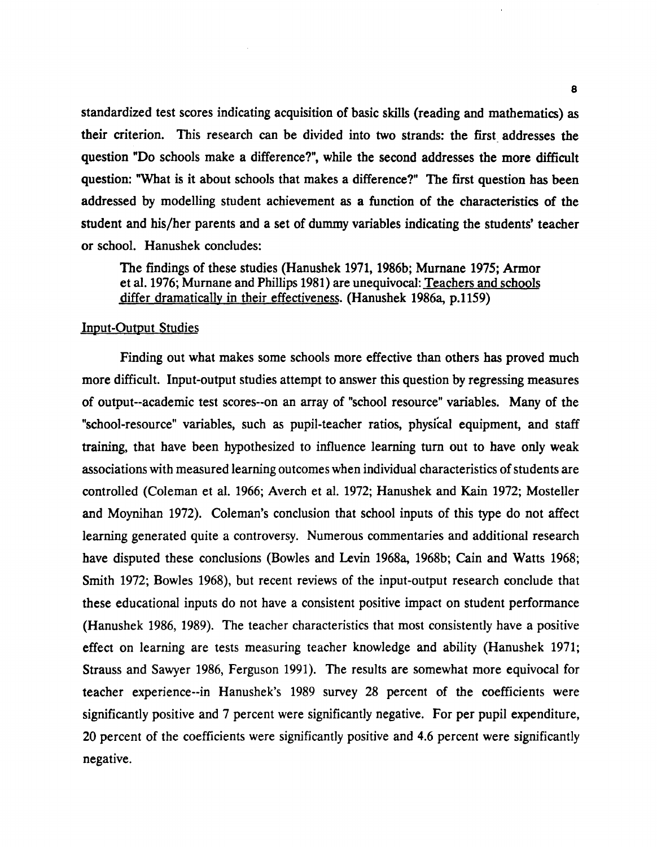standardized test scores indicating acquisition of basic skills (reading and mathematics) as their criterion. This research can be divided into two strands: the first addresses the question "Do schools make a difference?", while the second addresses the more difficult question: "What is it about schools that makes a difference?" The first question has been addressed by modelling student achievement as a function of the characteristics of the student and his/her parents and a set of dummy variables indicating the students' teacher or school. Hanushek concludes:

The findings of these studies (Hanushek 1971, 1986b; Murnane 1975; Armor et al. 1976; Murnane and Phillips 1981) are unequivocal: Teachers and schools differ dramatically in their effectiveness. (Hanushek 1986a, p.1159)

### Input-Output Studies

Finding out what makes some schools more effective than others has proved much more difficult. Input-output studies attempt to answer this question by regressing measures of output--academic test scores--on an array of "school resource" variables. Many of the "school-resource" variables, such as pupil-teacher ratios, physical equipment, and staff training, that have been hypothesized to influence learning turn out to have only weak associations with measured learning outcomes when individual characteristics of students are controlled (Coleman et al. 1966; Averch et al. 1972; Hanushek and Kain 1972; Mosteller and Moynihan 1972). Coleman's conclusion that school inputs of this type do not affect learning generated quite a controversy. Numerous commentaries and additional research have disputed these conclusions (Bowles and Levin 1968a, 1968b; Cain and Watts 1968; Smith 1972; Bowles 1968), but recent reviews of the input-output research conclude that these educational inputs do not have a consistent positive impact on student performance (Hanushek 1986, 1989). The teacher characteristics that most consistently have a positive effect on learning are tests measuring teacher knowledge and ability (Hanushek 1971; Strauss and Sawyer 1986, Ferguson 1991). The results are somewhat more equivocal for teacher experience--in Hanushek's 1989 survey 28 percent of the coefficients were significantly positive and 7 percent were significantly negative. For per pupil expenditure, 20 percent of the coefficients were significantly positive and 4.6 percent were significantly negative.

8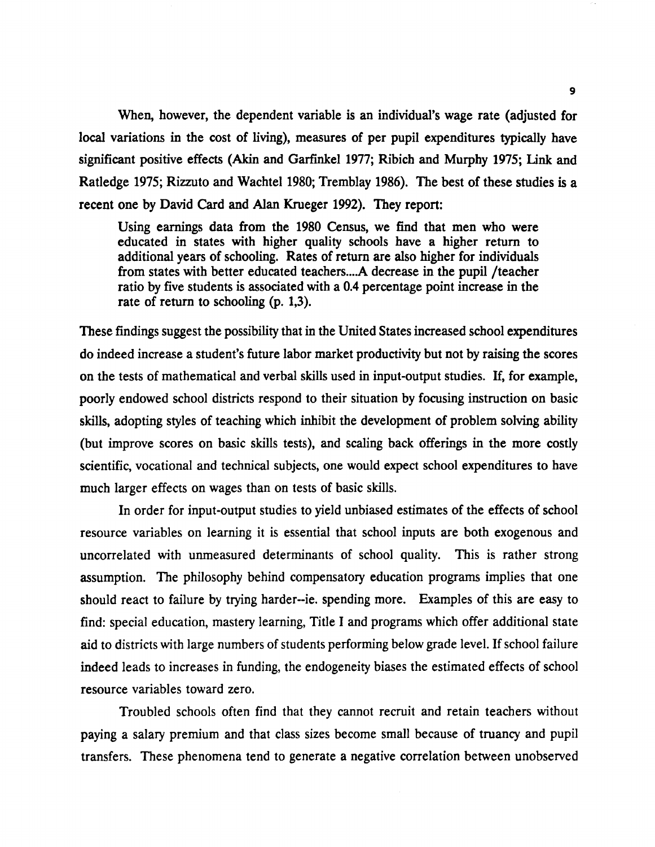When, however, the dependent variable is an individual's wage rate (adjusted for local variations in the cost of living), measures of per pupil expenditures typically have significant positive effects (Akin and Garfinkel 1977; Ribich and Murphy 1975; link and Ratledge 1975; Rizzuto and Wachtel 1980; Tremblay 1986). The best of these studies is a recent one by David Card and Alan Krueger 1992). They report:

Using earnings data from the 1980 Census, we find that men who were educated in states with higher quality schools have a higher return to additional years of schooling. Rates of return are also higher for individuals from states with better educated teachers....A decrease in the pupil /teacher ratio by five students is associated with a 0.4 percentage point increase in the rate of return to schooling (p. 1,3).

These findings suggest the possibility that in the United States increased school expenditures do indeed increase a student's future labor market productivity but not by raising the scores on the tests of mathematical and verbal skills used in input-output studies. H, for example, poorly endowed school districts respond to their situation by focusing instruction on basic skills, adopting styles of teaching which inhibit the development of problem solving ability (but improve scores on basic skills tests), and scaling back offerings in the more costly scientific, vocational and technical subjects, one would expect school expenditures to have much larger effects on wages than on tests of basic skills.

In order for input-output studies to yield unbiased estimates of the effects of school resource variables on learning it is essential that school inputs are both exogenous and uncorrelated with unmeasured determinants of school quality. This is rather strong assumption. The philosophy behind compensatory education programs implies that one should react to failure by trying harder--ie. spending more. Examples of this are easy to find: special education, mastery learning, Title I and programs which offer additional state aid to districts with large numbers of students performing below grade level. If school failure indeed leads to increases in funding, the endogeneity biases the estimated effects of school resource variables toward zero.

Troubled schools often find that they cannot recruit and retain teachers without paying a salary premium and that class sizes become small because of truancy and pupil transfers. These phenomena tend to generate a negative correlation between unobserved

9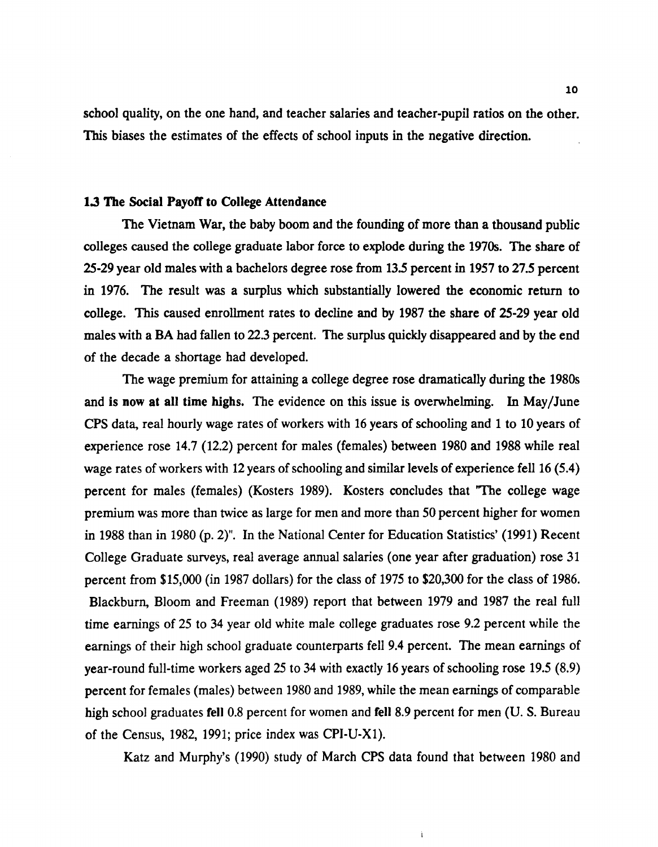school quality, on the one hand, and teacher salaries and teacher-pupil ratios on the other. This biases the estimates of the effects of school inputs in the negative direction.

#### 1.3 The Social Payoff to College Attendance

The Vietnam War, the baby boom and the founding of more than a thousand public colleges caused the college graduate labor force to explode during the 19705. The share of 25-29 year old males with a bachelors degree rose from 13.5 percent in 1957 to 27.5 percent in 1976. The result was a surplus which substantially lowered the economic return to college. This caused enrollment rates to decline and by 1987 the share of 25-29 year old males with a BA had fallen to 22.3 percent. The surplus quickly disappeared and by the end of the decade a shortage had developed.

The wage premium for attaining a college degree rose dramatically during the 1980s and is now at all time highs. The evidence on this issue is overwhelming. In May/June CPS data, real hourly wage rates of workers with 16years of schooling and 1 to 10 years of experience rose 14.7 (12.2) percent for males (females) between 1980 and 1988 while real wage rates of workers with 12years of schooling and similar levels of experience fell 16 (5.4) percent for males (females) (Kosters 1989). Kosters concludes that "The college wage premium was more than twice as large for men and more than 50 percent higher for women in 1988 than in 1980 (p. 2)". In the National Center for Education Statistics' (1991) Recent College Graduate surveys, real average annual salaries (one year after graduation) rose 31 percent from \$15,000 (in 1987 dollars) for the class of 1975 to \$20,300 for the class of 1986. Blackburn, Bloom and Freeman (1989) report that between 1979 and 1987 the real full time earnings of 25 to 34 year old white male college graduates rose 9.2 percent while the earnings of their high school graduate counterparts fell 9.4 percent. The mean earnings of year-round full-time workers aged 25 to 34 with exactly 16 years of schooling rose 19.5 (8.9) percent for females (males) between 1980and 1989,while the mean earnings of comparable high school graduates fell 0.8 percent for women and fell 8.9 percent for men (U. S. Bureau of the Census, 1982, 1991; price index was CPI-U-X1).

Katz and Murphy's (1990) study of March CPS data found that between 1980 and

j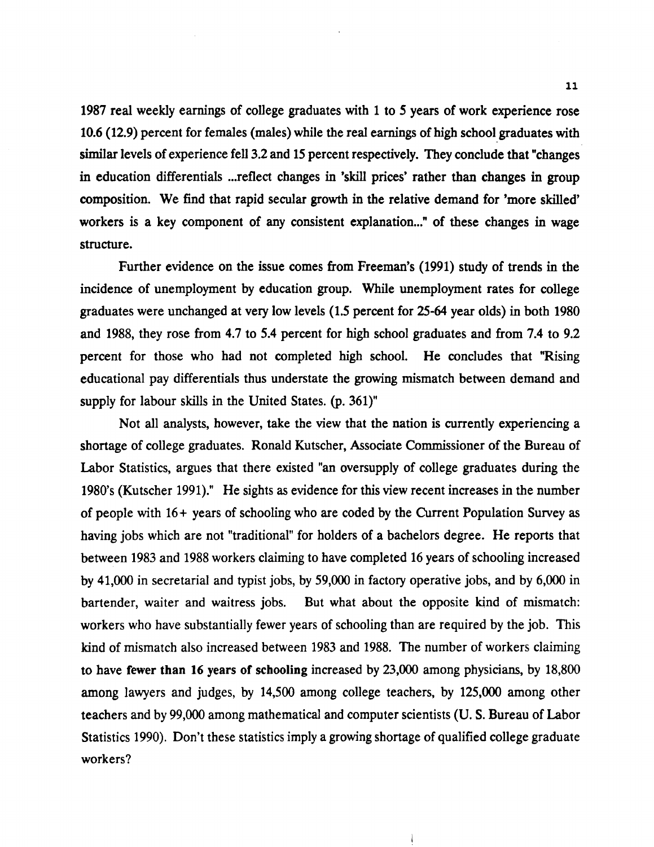1987 real weekly earnings of college graduates with 1 to 5 years of work experience rose 10.6 (12.9) percent for females (males) while the real earnings of high school graduates with similar levels of experience fell 3.2 and 15 percent respectively. They conclude that "changes" in education differentials ...reflect changes in 'skill prices' rather than changes in group composition. We find that rapid secular growth in the relative demand for 'more skilled' workers is a key component of any consistent explanation..." of these changes in wage structure.

Further evidence on the issue comes from Freeman's (1991) study of trends in the incidence of unemployment by education group. While unemployment rates for college graduates were unchanged at very low levels (1.5 percent for 25-64 year olds) in both 1980 and 1988, they rose from 4.7 to 5.4 percent for high school graduates and from 7.4 to 9.2 percent for those who had not completed high school. He concludes that "Rising educational pay differentials thus understate the growing mismatch between demand and supply for labour skills in the United States. (p. 361)"

Not all analysts, however, take the view that the nation is currently experiencing a shortage of college graduates. Ronald Kutscher, Associate Commissioner of the Bureau of Labor Statistics, argues that there existed "an oversupply of college graduates during the 1980's (Kutscher 1991)." He sights as evidence for this view recent increases in the number of people with 16+ years of schooling who are coded by the Current Population Survey as having jobs which are not "traditional" for holders of a bachelors degree. He reports that between 1983 and 1988workers claiming to have completed 16years of schooling increased by 41,000 in secretarial and typist jobs, by 59,000 in factory operative jobs, and by 6,000 in bartender, waiter and waitress jobs. But what about the opposite kind of mismatch: workers who have substantially fewer years of schooling than are required by the job. This kind of mismatch also increased between 1983 and 1988. The number of workers claiming to have fewer than 16 years of schooling increased by 23,000 among physicians, by 18,800 among lawyers and judges, by 14,500 among college teachers, by 125,000 among other teachers and by 99,000 among mathematical and computer scientists (U. S. Bureau of Labor Statistics 1990). Don't these statistics imply a growing shortage of qualified college graduate workers?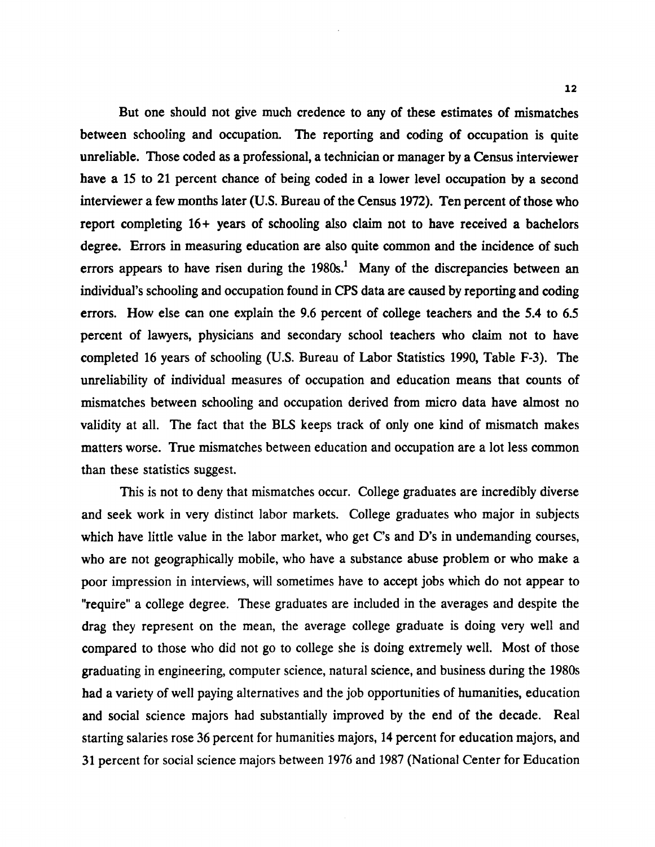But one should not give much credence to any of these estimates of mismatches between schooling and occupation. The reporting and coding of occupation is quite unreliable. Those coded as a professional, a technician or manager by a Census interviewer have a 15 to 21 percent chance of being coded in a lower level occupation by a second interviewer a few months later (U.S. Bureau of the Census 1972). Ten percent of those who report completing 16+ years of schooling also claim not to have received a bachelors degree. Errors in measuring education are also quite common and the incidence of such errors appears to have risen during the  $1980s$ <sup>1</sup>. Many of the discrepancies between an individual's schooling and occupation found in CPS data are caused by reporting and coding errors. How else can one explain the 9.6 percent of college teachers and the 5.4 to 6.5 percent of lawyers, physicians and secondary school teachers who claim not to have completed 16 years of schooling (U.S. Bureau of Labor Statistics 1990, Table F-3). The unreliability of individual measures of occupation and education means that counts of mismatches between schooling and occupation derived from micro data have almost no validity at all. The fact that the BLS keeps track of only one kind of mismatch makes matters worse. True mismatches between education and occupation are a lot less common than these statistics suggest.

This is not to deny that mismatches occur. College graduates are incredibly diverse and seek work in very distinct labor markets. College graduates who major in subjects which have little value in the labor market, who get C's and D's in undemanding courses, who are not geographically mobile, who have a substance abuse problem or who make a poor impression in interviews, will sometimes have to accept jobs which do not appear to "require" a college degree. These graduates are included in the averages and despite the drag they represent on the mean, the average college graduate is doing very well and compared to those who did not go to college she is doing extremely well. Most of those graduating in engineering, computer science, natural science, and business during the 1980s had a variety of well paying alternatives and the job opportunities of humanities, education and social science majors had substantially improved by the end of the decade. Real starting salaries rose 36 percent for humanities majors, 14 percent for education majors, and 31 percent for social science majors between 1976and 1987(National Center for Education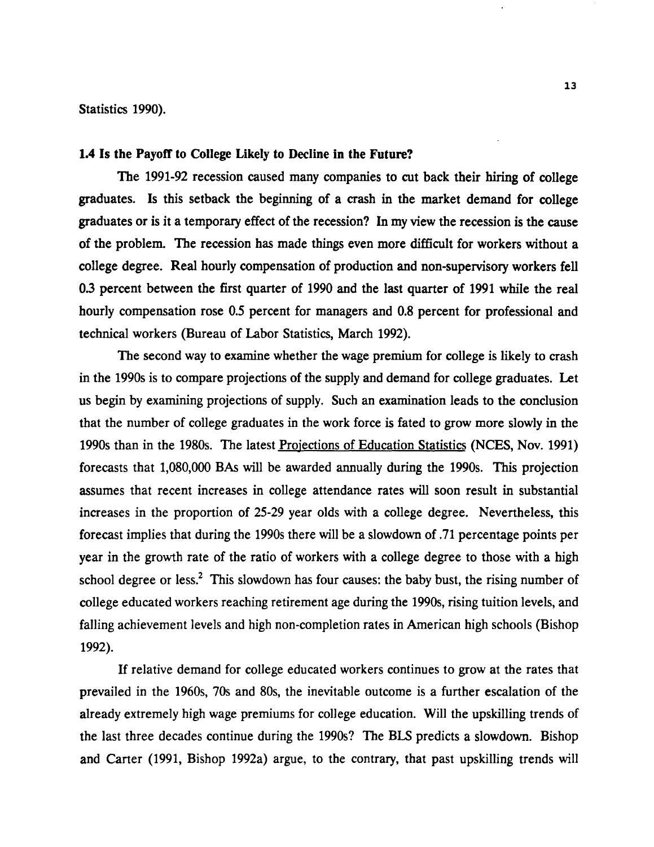Statistics 1990).

### 1.4 Is the Payoff to College Likely to Decline in the Future?

The 1991-92 recession caused many companies to cut back their hiring of college graduates. Is this setback the beginning of a crash in the market demand for college graduates or is it a temporary effect of the recession? In my view the recession is the cause of the problem. The recession has made things even more difficult for workers without a college degree. Real hourly compensation of production and non-supervisory workers fell 0.3 percent between the first quarter of 1990 and the last quarter of 1991 while the real hourly compensation rose 0.5 percent for managers and 0.8 percent for professional and technical workers (Bureau of Labor Statistics, March 1992).

The second way to examine whether the wage premium for college is likely to crash in the 1990s is to compare projections of the supply and demand for college graduates. Let us begin by examining projections of supply. Such an examination leads to the conclusion that the number of college graduates in the work force is fated to grow more slowly in the 1990s than in the 1980s. The latest Projections of Education Statistics (NCES, Nov. 1991) forecasts that 1,080,000 BAs will be awarded annually during the 1990s. This projection assumes that recent increases in college attendance rates will soon result in substantial increases in the proportion of 25-29 year olds with a college degree. Nevertheless, this forecast implies that during the 1990s there will be a slowdown of .71 percentage points per year in the growth rate of the ratio of workers with a college degree to those with a high school degree or less.<sup>2</sup> This slowdown has four causes: the baby bust, the rising number of college educated workers reaching retirement age during the 1990s, rising tuition levels, and falling achievement levels and high non-completion rates in American high schools (Bishop 1992).

If relative demand for college educated workers continues to grow at the rates that prevailed in the 1960s, 70s and 80s, the inevitable outcome is a further escalation of the already extremely high wage premiums for college education. Will the upskilling trends of the last three decades continue during the 1990s? The BLS predicts a slowdown. Bishop and Carter (1991, Bishop 1992a) argue, to the contrary, that past upskilling trends will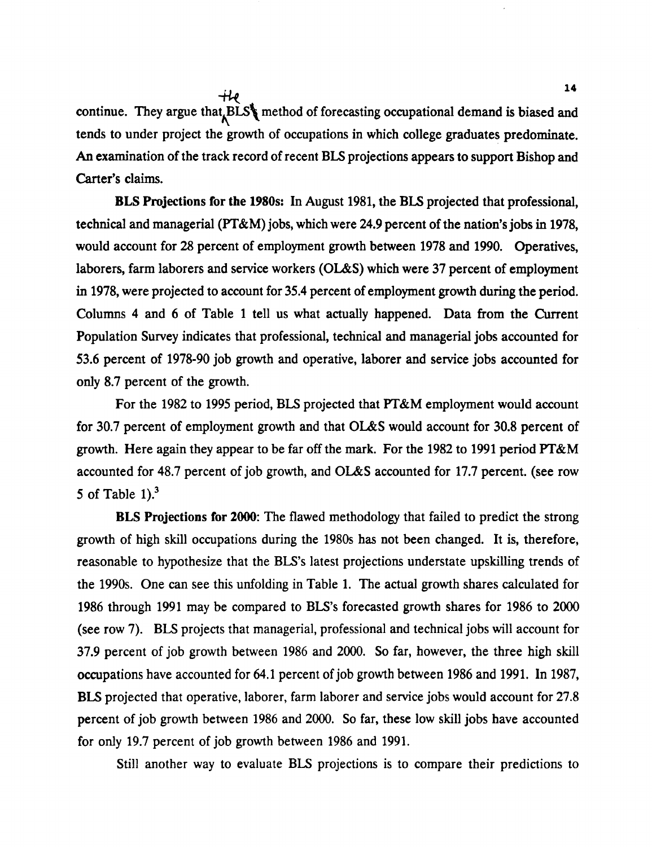$+1$ <sup>2</sup> continue. They argue that  $BLS\$  method of forecasting occupational demand is biased and tends to under project the growth of occupations in which college graduates predominate. An examination of the track record of recent BLS projections appears to support Bishop and Carter's claims.

BLS Projections for the 1980s: In August 1981, the BLS projected that professional, technical and managerial ( $PT\&M$ ) jobs, which were 24.9 percent of the nation's jobs in 1978, would account for 28 percent of employment growth between 1978 and 1990. Operatives, laborers, farm laborers and service workers (OL&S) which were 37 percent of employment in 1978, were projected to account for 35.4 percent of employment growth during the period. Columns 4 and 6 of Table 1 tell us what actually happened. Data from the Current Population Survey indicates that professional, technical and managerial jobs accounted for 53.6 percent of 1978-90 job growth and operative, laborer and service jobs accounted for only 8.7 percent of the growth.

For the 1982 to 1995 period, BLS projected that PT&M employment would account for 30.7 percent of employment growth and that OL&S would account for 30.8 percent of growth. Here again they appear to be far off the mark. For the 1982 to 1991 period  $PT\&M$ accounted for 48.7 percent of job growth, and OL&S accounted for 17.7 percent. (see row 5 of Table  $1$ ).<sup>3</sup>

BLS Projections for 2000: The flawed methodology that failed to predict the strong growth of high skill occupations during the 1980s has not been changed. It is, therefore, reasonable to hypothesize that the BLS's latest projections understate upskilling trends of the 1990s. One can see this unfolding in Table 1. The actual growth shares calculated for 1986 through 1991 may be compared to BLS's forecasted growth shares for 1986 to 2000 (see row 7). BLS projects that managerial, professional and technical jobs will account for 37.9 percent of job growth between 1986 and 2000. So far, however, the three high skill occupations have accounted for 64.1 percent of job growth between 1986 and 1991. In 1987, BLS projected that operative, laborer, farm laborer and service jobs would account for 27.8 percent of job growth between 1986 and 2000. So far, these low skill jobs have accounted for only 19.7 percent of job growth between 1986 and 1991.

Still another way to evaluate BLS projections is to compare their predictions to